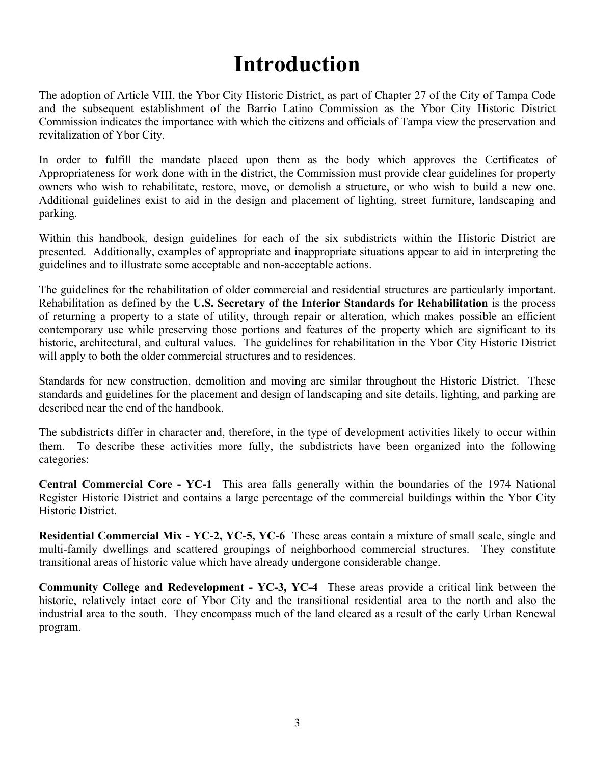## **Introduction**

The adoption of Article VIII, the Ybor City Historic District, as part of Chapter 27 of the City of Tampa Code and the subsequent establishment of the Barrio Latino Commission as the Ybor City Historic District Commission indicates the importance with which the citizens and officials of Tampa view the preservation and revitalization of Ybor City.

In order to fulfill the mandate placed upon them as the body which approves the Certificates of Appropriateness for work done with in the district, the Commission must provide clear guidelines for property owners who wish to rehabilitate, restore, move, or demolish a structure, or who wish to build a new one. Additional guidelines exist to aid in the design and placement of lighting, street furniture, landscaping and parking.

Within this handbook, design guidelines for each of the six subdistricts within the Historic District are presented. Additionally, examples of appropriate and inappropriate situations appear to aid in interpreting the guidelines and to illustrate some acceptable and non-acceptable actions.

 Rehabilitation as defined by the **U.S. Secretary of the Interior Standards for Rehabilitation** is the process The guidelines for the rehabilitation of older commercial and residential structures are particularly important. of returning a property to a state of utility, through repair or alteration, which makes possible an efficient contemporary use while preserving those portions and features of the property which are significant to its historic, architectural, and cultural values. The guidelines for rehabilitation in the Ybor City Historic District will apply to both the older commercial structures and to residences.

Standards for new construction, demolition and moving are similar throughout the Historic District. These standards and guidelines for the placement and design of landscaping and site details, lighting, and parking are described near the end of the handbook.

The subdistricts differ in character and, therefore, in the type of development activities likely to occur within them. To describe these activities more fully, the subdistricts have been organized into the following categories:

**Central Commercial Core - YC-1** This area falls generally within the boundaries of the 1974 National Register Historic District and contains a large percentage of the commercial buildings within the Ybor City Historic District.

**Residential Commercial Mix - YC-2, YC-5, YC-6** These areas contain a mixture of small scale, single and multi-family dwellings and scattered groupings of neighborhood commercial structures. They constitute transitional areas of historic value which have already undergone considerable change.

**Community College and Redevelopment - YC-3, YC-4** These areas provide a critical link between the historic, relatively intact core of Ybor City and the transitional residential area to the north and also the industrial area to the south. They encompass much of the land cleared as a result of the early Urban Renewal program.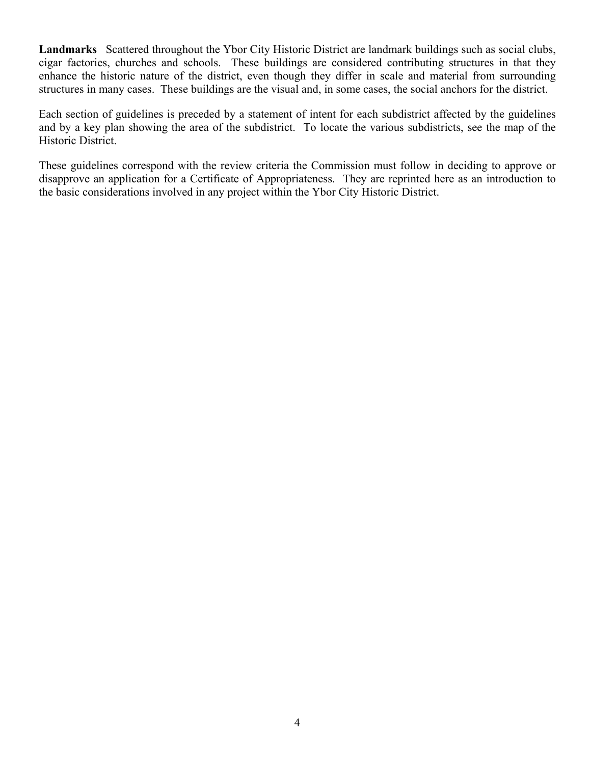**Landmarks** Scattered throughout the Ybor City Historic District are landmark buildings such as social clubs, cigar factories, churches and schools. These buildings are considered contributing structures in that they enhance the historic nature of the district, even though they differ in scale and material from surrounding structures in many cases. These buildings are the visual and, in some cases, the social anchors for the district.

Each section of guidelines is preceded by a statement of intent for each subdistrict affected by the guidelines and by a key plan showing the area of the subdistrict. To locate the various subdistricts, see the map of the Historic District.

These guidelines correspond with the review criteria the Commission must follow in deciding to approve or disapprove an application for a Certificate of Appropriateness. They are reprinted here as an introduction to the basic considerations involved in any project within the Ybor City Historic District.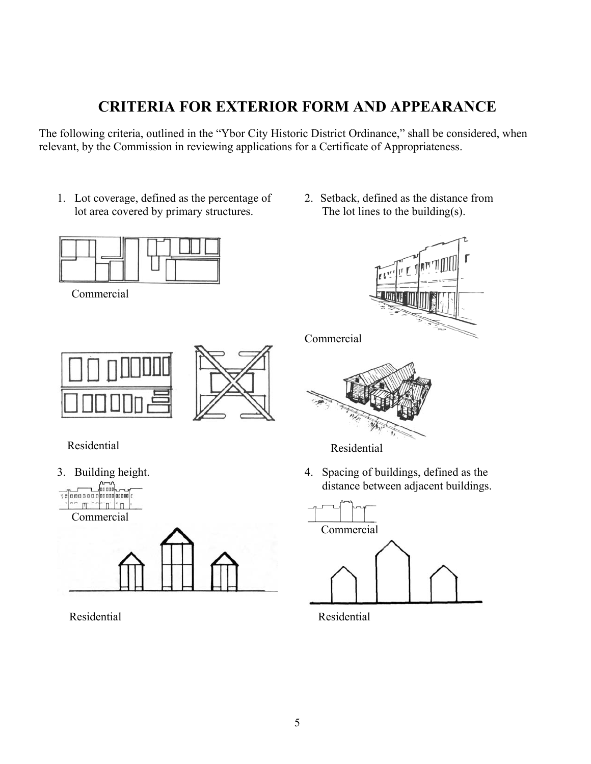## **CRITERIA FOR EXTERIOR FORM AND APPEARANCE**

The following criteria, outlined in the "Ybor City Historic District Ordinance," shall be considered, when relevant, by the Commission in reviewing applications for a Certificate of Appropriateness.

- 1. Lot coverage, defined as the percentage of 2. Setback, defined as the distance from lot area covered by primary structures. The lot lines to the building(s).
- 



Commercial



Residential



Residential Residential

Commercial





distance between adjacent buildings.

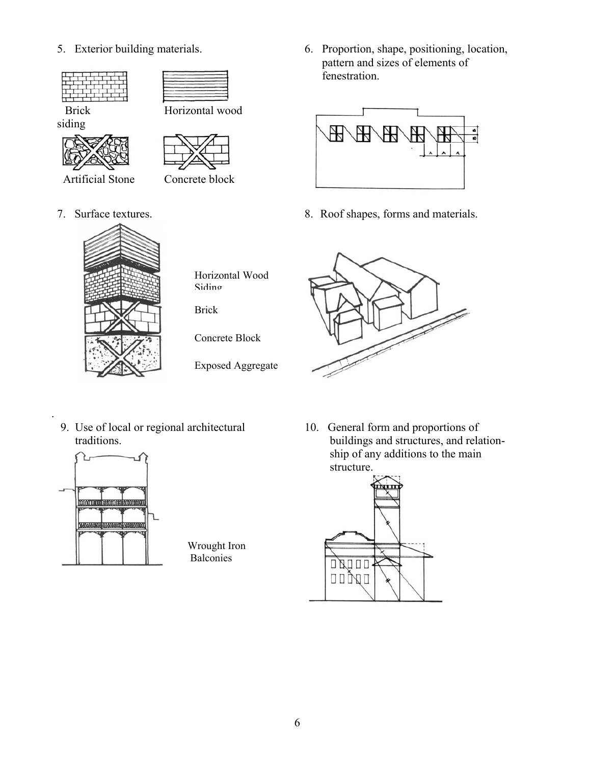



Brick Horizontal wood siding





- Artificial Stone Concrete block
- 
- -

Horizontal Wood Siding

Brick

Concrete Block

Exposed Aggregate

5. Exterior building materials. 6. Proportion, shape, positioning, location, pattern and sizes of elements of fenestration.



7. Surface textures. 8. Roof shapes, forms and materials.



9. Use of local or regional architectural 10. General form and proportions of



.

Wrought Iron Balconies

 traditions. buildings and structures, and relationship of any additions to the main structure.

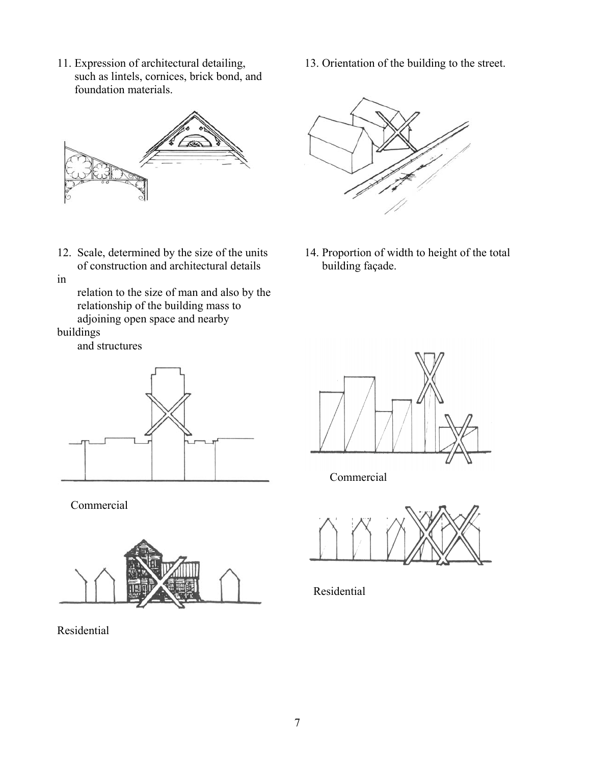11. Expression of architectural detailing, 13. Orientation of the building to the street. such as lintels, cornices, brick bond, and foundation materials.



of construction and architectural details building façade.

in

 relation to the size of man and also by the relationship of the building mass to adjoining open space and nearby

buildings

and structures



Commercial



Residential



12. Scale, determined by the size of the units 14. Proportion of width to height of the total



Commercial



Residential